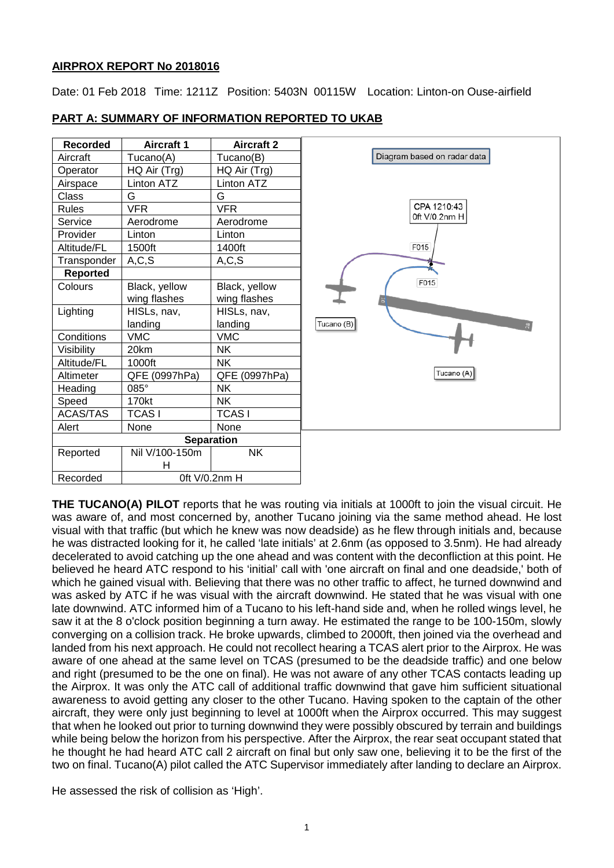## **AIRPROX REPORT No 2018016**

Date: 01 Feb 2018 Time: 1211Z Position: 5403N 00115W Location: Linton-on Ouse-airfield

| Recorded        | <b>Aircraft 1</b> | <b>Aircraft 2</b> |
|-----------------|-------------------|-------------------|
| Aircraft        | Tucano(A)         | Tucano(B)         |
| Operator        | HQ Air (Trg)      | HQ Air (Trg)      |
| Airspace        | <b>Linton ATZ</b> | Linton ATZ        |
| Class           | G                 | G                 |
| <b>Rules</b>    | <b>VFR</b>        | <b>VFR</b>        |
| Service         | Aerodrome         | Aerodrome         |
| Provider        | Linton            | Linton            |
| Altitude/FL     | 1500ft            | 1400ft            |
| Transponder     | A, C, S           | A, C, S           |
| <b>Reported</b> |                   |                   |
| Colours         | Black, yellow     | Black, yellow     |
|                 | wing flashes      | wing flashes      |
| Lighting        | HISLs, nav,       | HISLs, nav,       |
|                 | landing           | landing           |
| Conditions      | <b>VMC</b>        | <b>VMC</b>        |
| Visibility      | 20km              | <b>NK</b>         |
| Altitude/FL     | 1000ft            | <b>NK</b>         |
| Altimeter       | QFE (0997hPa)     | QFE (0997hPa)     |
| Heading         | $085^\circ$       | <b>NK</b>         |
| Speed           | 170kt             | <b>NK</b>         |
| <b>ACAS/TAS</b> | <b>TCASI</b>      | <b>TCASI</b>      |
| Alert           | None              | None              |
|                 | <b>Separation</b> |                   |
| Reported        | Nil V/100-150m    | <b>NK</b>         |
|                 | н                 |                   |
| Recorded        | Oft V/0.2nm H     |                   |

## **PART A: SUMMARY OF INFORMATION REPORTED TO UKAB**



**THE TUCANO(A) PILOT** reports that he was routing via initials at 1000ft to join the visual circuit. He was aware of, and most concerned by, another Tucano joining via the same method ahead. He lost visual with that traffic (but which he knew was now deadside) as he flew through initials and, because he was distracted looking for it, he called 'late initials' at 2.6nm (as opposed to 3.5nm). He had already decelerated to avoid catching up the one ahead and was content with the deconfliction at this point. He believed he heard ATC respond to his 'initial' call with 'one aircraft on final and one deadside,' both of which he gained visual with. Believing that there was no other traffic to affect, he turned downwind and was asked by ATC if he was visual with the aircraft downwind. He stated that he was visual with one late downwind. ATC informed him of a Tucano to his left-hand side and, when he rolled wings level, he saw it at the 8 o'clock position beginning a turn away. He estimated the range to be 100-150m, slowly converging on a collision track. He broke upwards, climbed to 2000ft, then joined via the overhead and landed from his next approach. He could not recollect hearing a TCAS alert prior to the Airprox. He was aware of one ahead at the same level on TCAS (presumed to be the deadside traffic) and one below and right (presumed to be the one on final). He was not aware of any other TCAS contacts leading up the Airprox. It was only the ATC call of additional traffic downwind that gave him sufficient situational awareness to avoid getting any closer to the other Tucano. Having spoken to the captain of the other aircraft, they were only just beginning to level at 1000ft when the Airprox occurred. This may suggest that when he looked out prior to turning downwind they were possibly obscured by terrain and buildings while being below the horizon from his perspective. After the Airprox, the rear seat occupant stated that he thought he had heard ATC call 2 aircraft on final but only saw one, believing it to be the first of the two on final. Tucano(A) pilot called the ATC Supervisor immediately after landing to declare an Airprox.

He assessed the risk of collision as 'High'.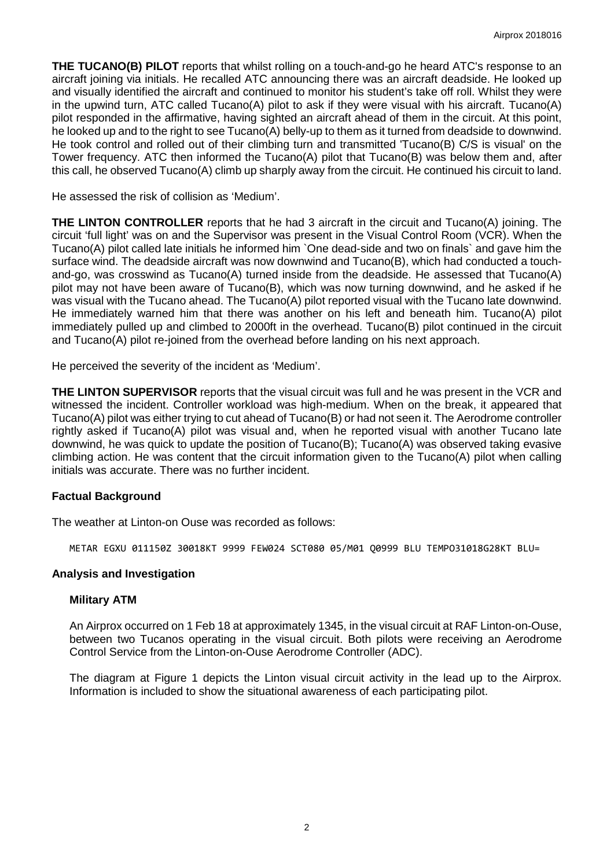**THE TUCANO(B) PILOT** reports that whilst rolling on a touch-and-go he heard ATC's response to an aircraft joining via initials. He recalled ATC announcing there was an aircraft deadside. He looked up and visually identified the aircraft and continued to monitor his student's take off roll. Whilst they were in the upwind turn, ATC called Tucano(A) pilot to ask if they were visual with his aircraft. Tucano(A) pilot responded in the affirmative, having sighted an aircraft ahead of them in the circuit. At this point, he looked up and to the right to see Tucano(A) belly-up to them as it turned from deadside to downwind. He took control and rolled out of their climbing turn and transmitted 'Tucano(B) C/S is visual' on the Tower frequency. ATC then informed the Tucano(A) pilot that Tucano(B) was below them and, after this call, he observed Tucano(A) climb up sharply away from the circuit. He continued his circuit to land.

He assessed the risk of collision as 'Medium'.

**THE LINTON CONTROLLER** reports that he had 3 aircraft in the circuit and Tucano(A) joining. The circuit 'full light' was on and the Supervisor was present in the Visual Control Room (VCR). When the Tucano(A) pilot called late initials he informed him `One dead-side and two on finals` and gave him the surface wind. The deadside aircraft was now downwind and Tucano(B), which had conducted a touchand-go, was crosswind as Tucano(A) turned inside from the deadside. He assessed that Tucano(A) pilot may not have been aware of Tucano(B), which was now turning downwind, and he asked if he was visual with the Tucano ahead. The Tucano(A) pilot reported visual with the Tucano late downwind. He immediately warned him that there was another on his left and beneath him. Tucano(A) pilot immediately pulled up and climbed to 2000ft in the overhead. Tucano(B) pilot continued in the circuit and Tucano(A) pilot re-joined from the overhead before landing on his next approach.

He perceived the severity of the incident as 'Medium'.

**THE LINTON SUPERVISOR** reports that the visual circuit was full and he was present in the VCR and witnessed the incident. Controller workload was high-medium. When on the break, it appeared that Tucano(A) pilot was either trying to cut ahead of Tucano(B) or had not seen it. The Aerodrome controller rightly asked if Tucano(A) pilot was visual and, when he reported visual with another Tucano late downwind, he was quick to update the position of Tucano(B); Tucano(A) was observed taking evasive climbing action. He was content that the circuit information given to the Tucano(A) pilot when calling initials was accurate. There was no further incident.

#### **Factual Background**

The weather at Linton-on Ouse was recorded as follows:

METAR EGXU 011150Z 30018KT 9999 FEW024 SCT080 05/M01 Q0999 BLU TEMPO31018G28KT BLU=

#### **Analysis and Investigation**

#### **Military ATM**

An Airprox occurred on 1 Feb 18 at approximately 1345, in the visual circuit at RAF Linton-on-Ouse, between two Tucanos operating in the visual circuit. Both pilots were receiving an Aerodrome Control Service from the Linton-on-Ouse Aerodrome Controller (ADC).

The diagram at Figure 1 depicts the Linton visual circuit activity in the lead up to the Airprox. Information is included to show the situational awareness of each participating pilot.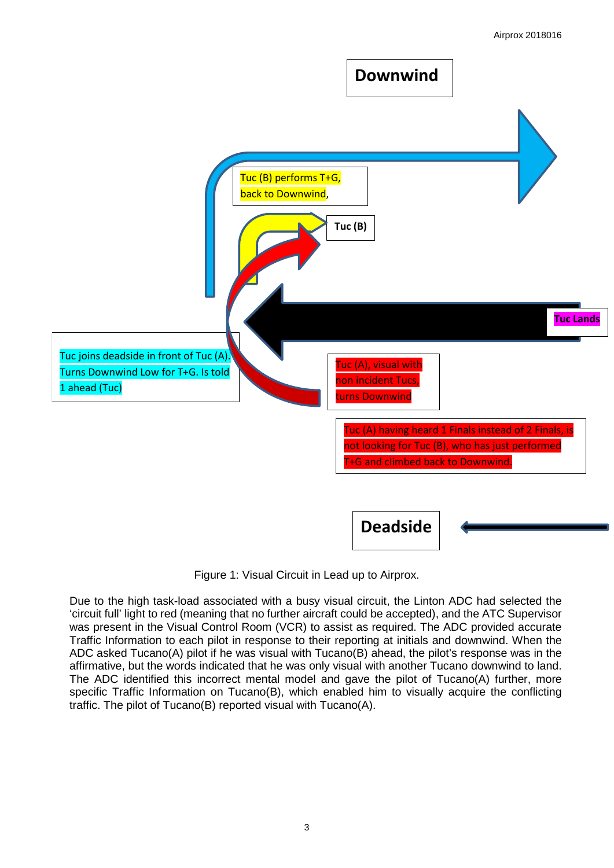

Figure 1: Visual Circuit in Lead up to Airprox.

Due to the high task-load associated with a busy visual circuit, the Linton ADC had selected the 'circuit full' light to red (meaning that no further aircraft could be accepted), and the ATC Supervisor was present in the Visual Control Room (VCR) to assist as required. The ADC provided accurate Traffic Information to each pilot in response to their reporting at initials and downwind. When the ADC asked Tucano(A) pilot if he was visual with Tucano(B) ahead, the pilot's response was in the affirmative, but the words indicated that he was only visual with another Tucano downwind to land. The ADC identified this incorrect mental model and gave the pilot of Tucano(A) further, more specific Traffic Information on Tucano(B), which enabled him to visually acquire the conflicting traffic. The pilot of Tucano(B) reported visual with Tucano(A).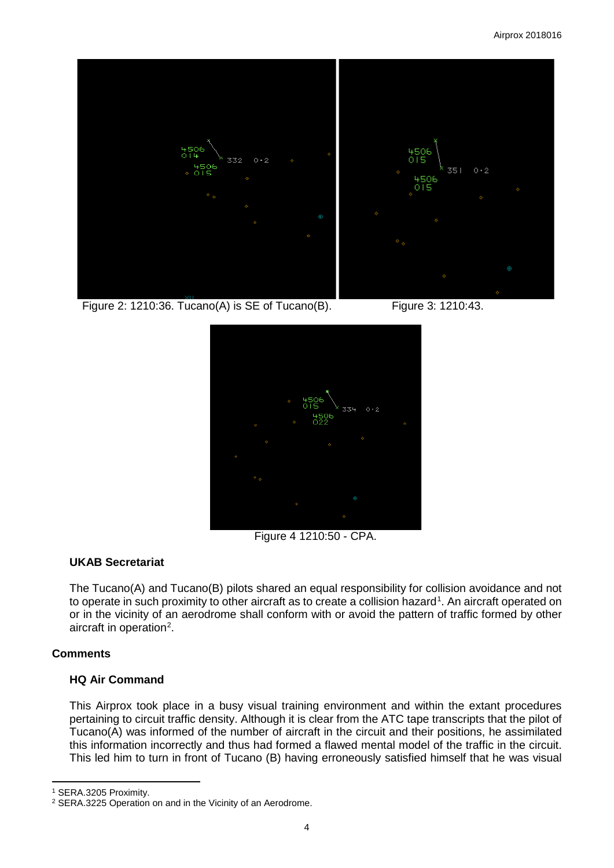

Figure 2: 1210:36. Tucano(A) is SE of Tucano(B). Figure 3: 1210:43.



Figure 4 1210:50 - CPA.

# **UKAB Secretariat**

The Tucano(A) and Tucano(B) pilots shared an equal responsibility for collision avoidance and not to operate in such proximity to other aircraft as to create a collision hazard<sup>[1](#page-3-0)</sup>. An aircraft operated on or in the vicinity of an aerodrome shall conform with or avoid the pattern of traffic formed by other aircraft in operation<sup>[2](#page-3-1)</sup>.

# **Comments**

# **HQ Air Command**

This Airprox took place in a busy visual training environment and within the extant procedures pertaining to circuit traffic density. Although it is clear from the ATC tape transcripts that the pilot of Tucano(A) was informed of the number of aircraft in the circuit and their positions, he assimilated this information incorrectly and thus had formed a flawed mental model of the traffic in the circuit. This led him to turn in front of Tucano (B) having erroneously satisfied himself that he was visual

l

<span id="page-3-0"></span><sup>1</sup> SERA.3205 Proximity.

<span id="page-3-1"></span><sup>2</sup> SERA.3225 Operation on and in the Vicinity of an Aerodrome.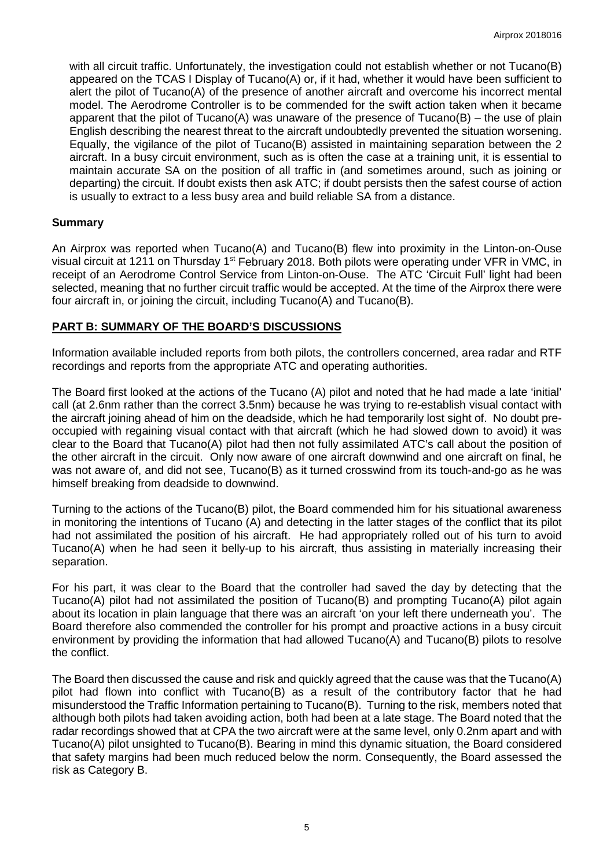with all circuit traffic. Unfortunately, the investigation could not establish whether or not Tucano(B) appeared on the TCAS I Display of Tucano(A) or, if it had, whether it would have been sufficient to alert the pilot of Tucano(A) of the presence of another aircraft and overcome his incorrect mental model. The Aerodrome Controller is to be commended for the swift action taken when it became apparent that the pilot of Tucano(A) was unaware of the presence of Tucano(B) – the use of plain English describing the nearest threat to the aircraft undoubtedly prevented the situation worsening. Equally, the vigilance of the pilot of Tucano(B) assisted in maintaining separation between the 2 aircraft. In a busy circuit environment, such as is often the case at a training unit, it is essential to maintain accurate SA on the position of all traffic in (and sometimes around, such as joining or departing) the circuit. If doubt exists then ask ATC; if doubt persists then the safest course of action is usually to extract to a less busy area and build reliable SA from a distance.

## **Summary**

An Airprox was reported when Tucano(A) and Tucano(B) flew into proximity in the Linton-on-Ouse visual circuit at 1211 on Thursday 1<sup>st</sup> February 2018. Both pilots were operating under VFR in VMC, in receipt of an Aerodrome Control Service from Linton-on-Ouse. The ATC 'Circuit Full' light had been selected, meaning that no further circuit traffic would be accepted. At the time of the Airprox there were four aircraft in, or joining the circuit, including Tucano(A) and Tucano(B).

## **PART B: SUMMARY OF THE BOARD'S DISCUSSIONS**

Information available included reports from both pilots, the controllers concerned, area radar and RTF recordings and reports from the appropriate ATC and operating authorities.

The Board first looked at the actions of the Tucano (A) pilot and noted that he had made a late 'initial' call (at 2.6nm rather than the correct 3.5nm) because he was trying to re-establish visual contact with the aircraft joining ahead of him on the deadside, which he had temporarily lost sight of. No doubt preoccupied with regaining visual contact with that aircraft (which he had slowed down to avoid) it was clear to the Board that Tucano(A) pilot had then not fully assimilated ATC's call about the position of the other aircraft in the circuit. Only now aware of one aircraft downwind and one aircraft on final, he was not aware of, and did not see, Tucano(B) as it turned crosswind from its touch-and-go as he was himself breaking from deadside to downwind.

Turning to the actions of the Tucano(B) pilot, the Board commended him for his situational awareness in monitoring the intentions of Tucano (A) and detecting in the latter stages of the conflict that its pilot had not assimilated the position of his aircraft. He had appropriately rolled out of his turn to avoid Tucano(A) when he had seen it belly-up to his aircraft, thus assisting in materially increasing their separation.

For his part, it was clear to the Board that the controller had saved the day by detecting that the Tucano(A) pilot had not assimilated the position of Tucano(B) and prompting Tucano(A) pilot again about its location in plain language that there was an aircraft 'on your left there underneath you'. The Board therefore also commended the controller for his prompt and proactive actions in a busy circuit environment by providing the information that had allowed Tucano(A) and Tucano(B) pilots to resolve the conflict.

The Board then discussed the cause and risk and quickly agreed that the cause was that the Tucano(A) pilot had flown into conflict with Tucano(B) as a result of the contributory factor that he had misunderstood the Traffic Information pertaining to Tucano(B). Turning to the risk, members noted that although both pilots had taken avoiding action, both had been at a late stage. The Board noted that the radar recordings showed that at CPA the two aircraft were at the same level, only 0.2nm apart and with Tucano(A) pilot unsighted to Tucano(B). Bearing in mind this dynamic situation, the Board considered that safety margins had been much reduced below the norm. Consequently, the Board assessed the risk as Category B.